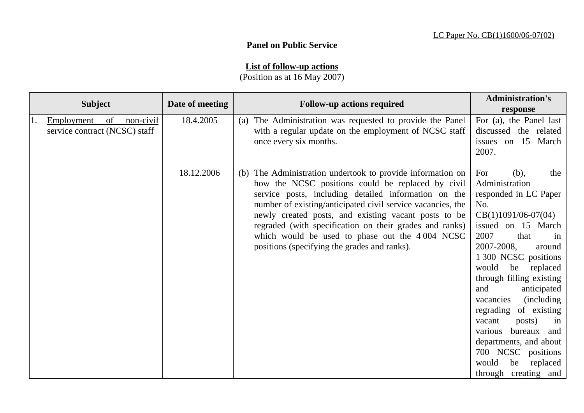## **Panel on Public Service**

## **List of follow-up actions**

(Position as at 16 May 2007)

| <b>Subject</b>                                                 | Date of meeting | <b>Follow-up actions required</b>                                                                                                                                                                                                                                                                                                                                                                                                                           | <b>Administration's</b><br>response                                                                                                                                                                                                                                                                                                                                                                                                                                                   |
|----------------------------------------------------------------|-----------------|-------------------------------------------------------------------------------------------------------------------------------------------------------------------------------------------------------------------------------------------------------------------------------------------------------------------------------------------------------------------------------------------------------------------------------------------------------------|---------------------------------------------------------------------------------------------------------------------------------------------------------------------------------------------------------------------------------------------------------------------------------------------------------------------------------------------------------------------------------------------------------------------------------------------------------------------------------------|
| non-civil<br>of<br>Employment<br>service contract (NCSC) staff | 18.4.2005       | (a) The Administration was requested to provide the Panel<br>with a regular update on the employment of NCSC staff<br>once every six months.                                                                                                                                                                                                                                                                                                                | For (a), the Panel last<br>discussed the related<br>issues on 15 March<br>2007.                                                                                                                                                                                                                                                                                                                                                                                                       |
|                                                                | 18.12.2006      | (b) The Administration undertook to provide information on<br>how the NCSC positions could be replaced by civil<br>service posts, including detailed information on the<br>number of existing/anticipated civil service vacancies, the<br>newly created posts, and existing vacant posts to be<br>regraded (with specification on their grades and ranks)<br>which would be used to phase out the 4004 NCSC<br>positions (specifying the grades and ranks). | For<br>(b),<br>the<br>Administration<br>responded in LC Paper<br>No.<br>$CB(1)1091/06-07(04)$<br>issued on 15 March<br>2007<br>that<br>in<br>2007-2008,<br>around<br>1 300 NCSC positions<br>would<br>be<br>replaced<br>through filling existing<br>anticipated<br>and<br>(including)<br>vacancies<br>of existing<br>regrading<br>posts)<br>vacant<br>in<br>bureaux and<br>various<br>departments, and about<br>700 NCSC positions<br>would<br>be<br>replaced<br>through creating and |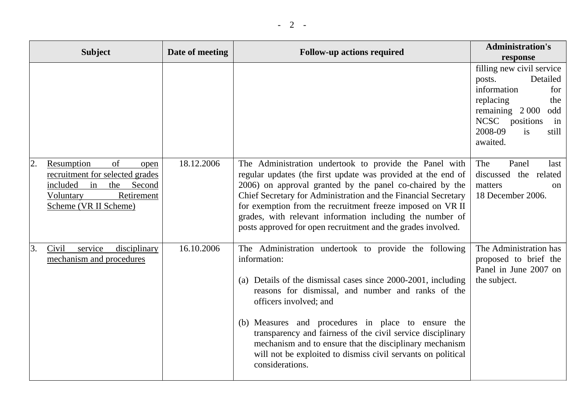|    | <b>Subject</b>                                                                                                                                     | Date of meeting | <b>Follow-up actions required</b>                                                                                                                                                                                                                                                                                                                                                                                                                                                         | <b>Administration's</b><br>response                                                                                                                                                |
|----|----------------------------------------------------------------------------------------------------------------------------------------------------|-----------------|-------------------------------------------------------------------------------------------------------------------------------------------------------------------------------------------------------------------------------------------------------------------------------------------------------------------------------------------------------------------------------------------------------------------------------------------------------------------------------------------|------------------------------------------------------------------------------------------------------------------------------------------------------------------------------------|
|    |                                                                                                                                                    |                 |                                                                                                                                                                                                                                                                                                                                                                                                                                                                                           | filling new civil service<br>Detailed<br>posts.<br>information<br>for<br>replacing<br>the<br>remaining $2000$<br>odd<br>NCSC positions<br>in<br>2008-09<br>is<br>still<br>awaited. |
| 2. | Resumption<br>of<br>open<br>recruitment for selected grades<br>included<br>Second<br>in<br>the<br>Retirement<br>Voluntary<br>Scheme (VR II Scheme) | 18.12.2006      | The Administration undertook to provide the Panel with<br>regular updates (the first update was provided at the end of<br>2006) on approval granted by the panel co-chaired by the<br>Chief Secretary for Administration and the Financial Secretary<br>for exemption from the recruitment freeze imposed on VR II<br>grades, with relevant information including the number of<br>posts approved for open recruitment and the grades involved.                                           | The<br>Panel<br>last<br>discussed the related<br>matters<br>on<br>18 December 2006.                                                                                                |
| 3. | service<br>disciplinary<br>Civil<br>mechanism and procedures                                                                                       | 16.10.2006      | The Administration undertook to provide the following<br>information:<br>(a) Details of the dismissal cases since 2000-2001, including<br>reasons for dismissal, and number and ranks of the<br>officers involved; and<br>(b) Measures and procedures in place to ensure the<br>transparency and fairness of the civil service disciplinary<br>mechanism and to ensure that the disciplinary mechanism<br>will not be exploited to dismiss civil servants on political<br>considerations. | The Administration has<br>proposed to brief the<br>Panel in June 2007 on<br>the subject.                                                                                           |